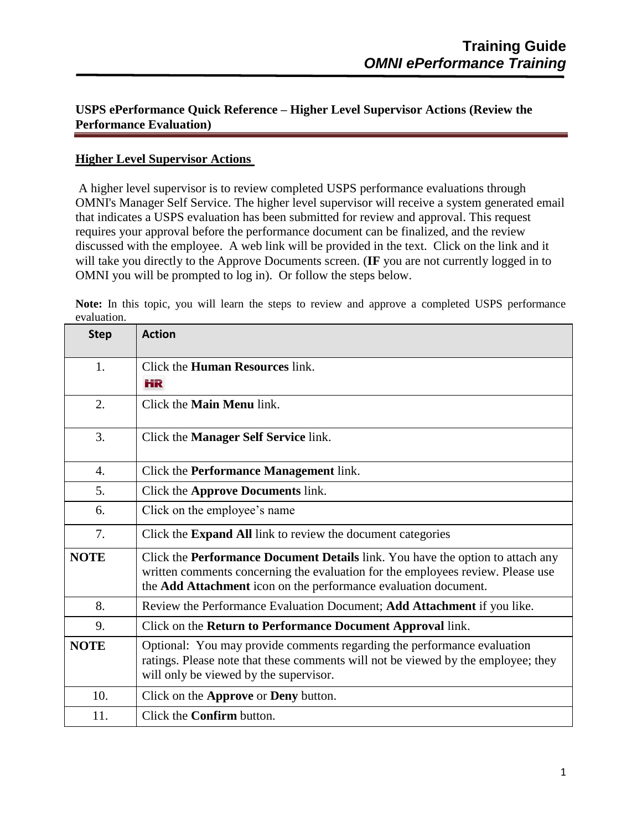## **USPS ePerformance Quick Reference – Higher Level Supervisor Actions (Review the Performance Evaluation)**

## **Higher Level Supervisor Actions**

A higher level supervisor is to review completed USPS performance evaluations through OMNI's Manager Self Service. The higher level supervisor will receive a system generated email that indicates a USPS evaluation has been submitted for review and approval. This request requires your approval before the performance document can be finalized, and the review discussed with the employee. A web link will be provided in the text. Click on the link and it will take you directly to the Approve Documents screen. (**IF** you are not currently logged in to OMNI you will be prompted to log in). Or follow the steps below.

**Note:** In this topic, you will learn the steps to review and approve a completed USPS performance evaluation.

| <b>Step</b>      | <b>Action</b>                                                                                                                                                                                                                               |
|------------------|---------------------------------------------------------------------------------------------------------------------------------------------------------------------------------------------------------------------------------------------|
| 1.               | Click the <b>Human Resources</b> link.<br>НR                                                                                                                                                                                                |
| 2.               | Click the <b>Main Menu</b> link.                                                                                                                                                                                                            |
| 3.               | Click the Manager Self Service link.                                                                                                                                                                                                        |
| $\overline{4}$ . | Click the <b>Performance Management</b> link.                                                                                                                                                                                               |
| 5.               | Click the Approve Documents link.                                                                                                                                                                                                           |
| 6.               | Click on the employee's name                                                                                                                                                                                                                |
| 7.               | Click the Expand All link to review the document categories                                                                                                                                                                                 |
| <b>NOTE</b>      | Click the <b>Performance Document Details</b> link. You have the option to attach any<br>written comments concerning the evaluation for the employees review. Please use<br>the Add Attachment icon on the performance evaluation document. |
| 8.               | Review the Performance Evaluation Document; Add Attachment if you like.                                                                                                                                                                     |
| 9.               | Click on the Return to Performance Document Approval link.                                                                                                                                                                                  |
| <b>NOTE</b>      | Optional: You may provide comments regarding the performance evaluation<br>ratings. Please note that these comments will not be viewed by the employee; they<br>will only be viewed by the supervisor.                                      |
| 10.              | Click on the Approve or Deny button.                                                                                                                                                                                                        |
| 11.              | Click the <b>Confirm</b> button.                                                                                                                                                                                                            |